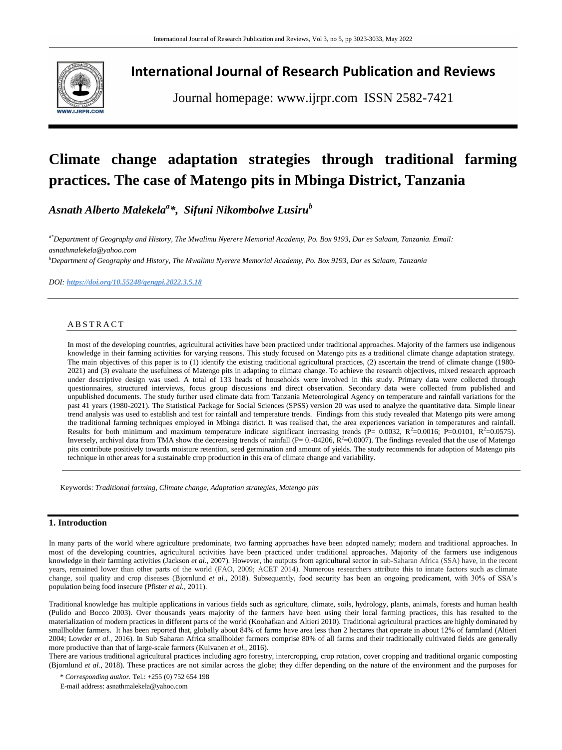

## **International Journal of Research Publication and Reviews**

Journal homepage: www.ijrpr.com ISSN 2582-7421

# **Climate change adaptation strategies through traditional farming practices. The case of Matengo pits in Mbinga District, Tanzania**

*Asnath Alberto Malekela<sup>a</sup> \*, Sifuni Nikombolwe Lusiru<sup>b</sup>*

*a\*Department of Geography and History, The Mwalimu Nyerere Memorial Academy, Po. Box 9193, Dar es Salaam, Tanzania. Email: [asnathmalekela@yahoo.com](mailto:asnathmalekela@yahoo.com)*

*<sup>b</sup>Department of Geography and History, The Mwalimu Nyerere Memorial Academy, Po. Box 9193, Dar es Salaam, Tanzania*

*DOI: <https://doi.org/10.55248/gengpi.2022.3.5.18>*

## **ABSTRACT**

In most of the developing countries, agricultural activities have been practiced under traditional approaches. Majority of the farmers use indigenous knowledge in their farming activities for varying reasons. This study focused on Matengo pits as a traditional climate change adaptation strategy. The main objectives of this paper is to (1) identify the existing traditional agricultural practices, (2) ascertain the trend of climate change (1980- 2021) and (3) evaluate the usefulness of Matengo pits in adapting to climate change. To achieve the research objectives, mixed research approach under descriptive design was used. A total of 133 heads of households were involved in this study. Primary data were collected through questionnaires, structured interviews, focus group discussions and direct observation. Secondary data were collected from published and unpublished documents. The study further used climate data from Tanzania Meteorological Agency on temperature and rainfall variations for the past 41 years (1980-2021). The Statistical Package for Social Sciences (SPSS) version 20 was used to analyze the quantitative data. Simple linear trend analysis was used to establish and test for rainfall and temperature trends. Findings from this study revealed that Matengo pits were among the traditional farming techniques employed in Mbinga district. It was realised that, the area experiences variation in temperatures and rainfall. Results for both minimum and maximum temperature indicate significant increasing trends (P=  $0.0032$ , R<sup>2</sup>=0.0016; P=0.0101, R<sup>2</sup>=0.0575). Inversely, archival data from TMA show the decreasing trends of rainfall  $(P = 0.04206, R^2 = 0.0007)$ . The findings revealed that the use of Matengo pits contribute positively towards moisture retention, seed germination and amount of yields. The study recommends for adoption of Matengo pits technique in other areas for a sustainable crop production in this era of climate change and variability.

Keywords: *Traditional farming, Climate change, Adaptation strategies, Matengo pits*

## **1. Introduction**

In many parts of the world where agriculture predominate, two farming approaches have been adopted namely; modern and traditional approaches. In most of the developing countries, agricultural activities have been practiced under traditional approaches. Majority of the farmers use indigenous knowledge in their farming activities (Jackson *et al.,* 2007). However, the outputs from agricultural sector in sub-Saharan Africa (SSA) have, in the recent years, remained lower than other parts of the world (FAO, 2009; ACET 2014). Numerous researchers attribute this to innate factors such as climate change, soil quality and crop diseases (Bjornlund *et al.,* 2018). Subsequently, food security has been an ongoing predicament, with 30% of SSA's population being food insecure (Pfister *et al.,* 2011).

Traditional knowledge has multiple applications in various fields such as agriculture, climate, soils, hydrology, plants, animals, forests and human health (Pulido and Bocco 2003). Over thousands years majority of the farmers have been using their local farming practices, this has resulted to the materialization of modern practices in different parts of the world (Koohafkan and Altieri 2010). Traditional agricultural practices are highly dominated by smallholder farmers. It has been reported that, globally about 84% of farms have area less than 2 hectares that operate in about 12% of farmland (Altieri 2004; Lowder *et al.,* 2016). In Sub Saharan Africa smallholder farmers comprise 80% of all farms and their traditionally cultivated fields are generally more productive than that of large-scale farmers (Kuivanen *et al.,* 2016).

There are various traditional agricultural practices including agro forestry, intercropping, crop rotation, cover cropping and traditional organic composting (Bjornlund *et al.*, 2018). These practices are not similar across the globe; they differ depending on the nature of the environment and the purposes for

\* *Corresponding author.* Tel.: +255 (0) 752 654 198

E-mail address: asnathmalekela@yahoo.com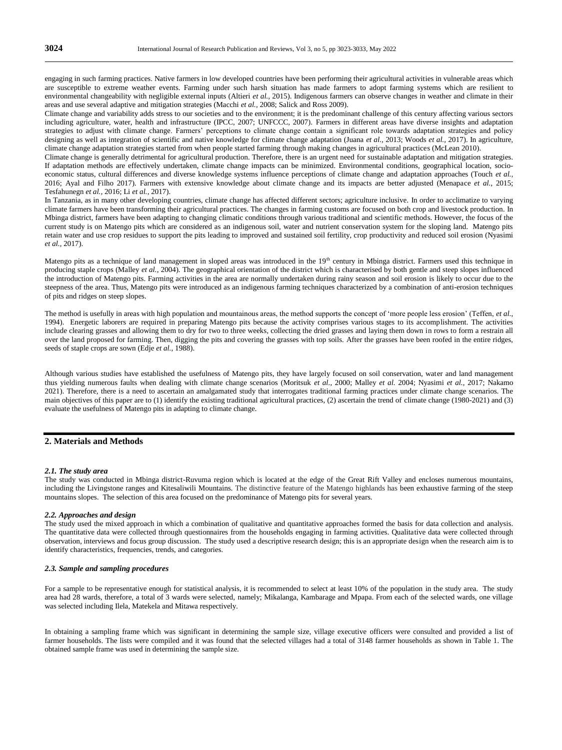engaging in such farming practices. Native farmers in low developed countries have been performing their agricultural activities in vulnerable areas which are susceptible to extreme weather events. Farming under such harsh situation has made farmers to adopt farming systems which are resilient to environmental changeability with negligible external inputs (Altieri *et al.,* 2015). Indigenous farmers can observe changes in weather and climate in their areas and use several adaptive and mitigation strategies (Macchi *et al.,* 2008; Salick and Ross 2009).

Climate change and variability adds stress to our societies and to the environment; it is the predominant challenge of this century affecting various sectors including agriculture, water, health and infrastructure (IPCC, 2007; UNFCCC, 2007). Farmers in different areas have diverse insights and adaptation strategies to adjust with climate change. Farmers' perceptions to climate change contain a significant role towards adaptation strategies and policy designing as well as integration of scientific and native knowledge for climate change adaptation (Juana *et al.,* 2013; Woods *et al.,* 2017). In agriculture, climate change adaptation strategies started from when people started farming through making changes in agricultural practices (McLean 2010).

Climate change is generally detrimental for agricultural production. Therefore, there is an urgent need for sustainable adaptation and mitigation strategies. If adaptation methods are effectively undertaken, climate change impacts can be minimized. Environmental conditions, geographical location, socioeconomic status, cultural differences and diverse knowledge systems influence perceptions of climate change and adaptation approaches (Touch *et al.,* 2016; Ayal and Filho 2017). Farmers with extensive knowledge about climate change and its impacts are better adjusted (Menapace *et al.,* 2015; Tesfahunegn *et al.,* 2016; Li *et al.,* 2017).

In Tanzania, as in many other developing countries, climate change has affected different sectors; agriculture inclusive. In order to acclimatize to varying climate farmers have been transforming their agricultural practices. The changes in farming customs are focused on both crop and livestock production. In Mbinga district, farmers have been adapting to changing climatic conditions through various traditional and scientific methods. However, the focus of the current study is on Matengo pits which are considered as an indigenous soil, water and nutrient conservation system for the sloping land. Matengo pits retain water and use crop residues to support the pits leading to improved and sustained soil fertility, crop productivity and reduced soil erosion (Nyasimi *et al.,* 2017).

Matengo pits as a technique of land management in sloped areas was introduced in the  $19<sup>th</sup>$  century in Mbinga district. Farmers used this technique in producing staple crops (Malley *et al.,* 2004). The geographical orientation of the district which is characterised by both gentle and steep slopes influenced the introduction of Matengo pits. Farming activities in the area are normally undertaken during rainy season and soil erosion is likely to occur due to the steepness of the area. Thus, Matengo pits were introduced as an indigenous farming techniques characterized by a combination of anti-erosion techniques of pits and ridges on steep slopes.

The method is usefully in areas with high population and mountainous areas, the method supports the concept of 'more people less erosion' (Teffen, *et al.*, 1994). Energetic laborers are required in preparing Matengo pits because the activity comprises various stages to its accomplishment. The activities include clearing grasses and allowing them to dry for two to three weeks, collecting the dried grasses and laying them down in rows to form a restrain all over the land proposed for farming. Then, digging the pits and covering the grasses with top soils. After the grasses have been roofed in the entire ridges, seeds of staple crops are sown (Edje *et al.,* 1988).

Although various studies have established the usefulness of Matengo pits, they have largely focused on soil conservation, water and land management thus yielding numerous faults when dealing with climate change scenarios (Moritsuk *et al.,* 2000; Malley *et al.* 2004; Nyasimi *et al.,* 2017; Nakamo 2021). Therefore, there is a need to ascertain an amalgamated study that interrogates traditional farming practices under climate change scenarios. The main objectives of this paper are to (1) identify the existing traditional agricultural practices, (2) ascertain the trend of climate change (1980-2021) and (3) evaluate the usefulness of Matengo pits in adapting to climate change.

## **2. Materials and Methods**

#### *2.1. The study area*

The study was conducted in Mbinga district-Ruvuma region which is located at the edge of the Great Rift Valley and encloses numerous mountains, including the Livingstone ranges and Kitesaliwili Mountains. The distinctive feature of the Matengo highlands has been exhaustive farming of the steep mountains slopes. The selection of this area focused on the predominance of Matengo pits for several years.

#### *2.2. Approaches and design*

The study used the mixed approach in which a combination of qualitative and quantitative approaches formed the basis for data collection and analysis. The quantitative data were collected through questionnaires from the households engaging in farming activities. Qualitative data were collected through observation, interviews and focus group discussion. The study used a descriptive research design; this is an appropriate design when the research aim is to identify characteristics, frequencies, trends, and categories.

#### *2.3. Sample and sampling procedures*

For a sample to be representative enough for statistical analysis, it is recommended to select at least 10% of the population in the study area. The study area had 28 wards, therefore, a total of 3 wards were selected, namely; Mikalanga, Kambarage and Mpapa. From each of the selected wards, one village was selected including Ilela, Matekela and Mitawa respectively.

In obtaining a sampling frame which was significant in determining the sample size, village executive officers were consulted and provided a list of farmer households. The lists were compiled and it was found that the selected villages had a total of 3148 farmer households as shown in Table 1. The obtained sample frame was used in determining the sample size.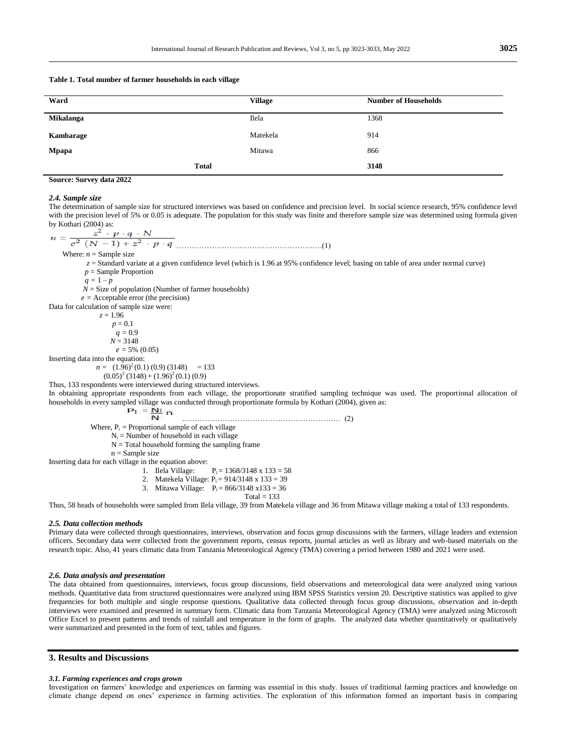#### **Table 1***.* **Total number of farmer households in each village**

| Ward             | <b>Village</b> | <b>Number of Households</b> |
|------------------|----------------|-----------------------------|
| <b>Mikalanga</b> | Ilela          | 1368                        |
| Kambarage        | Matekela       | 914                         |
| Mpapa            | Mitawa         | 866                         |
|                  | <b>Total</b>   | 3148                        |

#### **Source: Survey data 2022**

#### *2.4. Sample size*

The determination of sample size for structured interviews was based on confidence and precision level. In social science research, 95% confidence level with the precision level of 5% or 0.05 is adequate. The population for this study was finite and therefore sample size was determined using formula given by Kothari (2004) as:

………………………………………………….(1) Where:  $n =$  Sample size *z* = Standard variate at a given confidence level (which is 1.96 at 95% confidence level; basing on table of area under normal curve) *p* = Sample Proportion  $q = 1 - p$  $N =$  Size of population (Number of farmer households)  $e =$  Acceptable error (the precision) Data for calculation of sample size were:  $z = 1.96$  $p = 0.1$  $q = 0.9$  $N = 3148$  $e = 5\% (0.05)$ Inserting data into the equation:  $n = (1.96)^2(0.1)(0.9)(3148) = 133$  $(0.05)^{2}$  (3148) + (1.96)<sup>2</sup> (0.1) (0.9) Thus, 133 respondents were interviewed during structured interviews. In obtaining appropriate respondents from each village, the proportionate stratified sampling technique was used. The proportional allocation of households in every sampled village was conducted through proportionate formula by Kothari (2004), given as:<br> $P_i = \underline{N_i}$  ……………………………………………………… (2) Where,  $P_i$  = Proportional sample of each village  $N_i$  = Number of household in each village  $N = Total$  household forming the sampling frame  $n =$  Sample size

Inserting data for each village in the equation above:<br>1. Ilela Village:

- $P_i = 1368/3148 \times 133 = 58$
- 2. Matekela Village:  $P_i = 914/3148 \times 133 = 39$
- 3. Mitawa Village:  $P_i = 866/3148 \text{ x}133 = 36$ 
	- $Total = 133$

Thus, 58 heads of households were sampled from Ilela village, 39 from Matekela village and 36 from Mitawa village making a total of 133 respondents.

#### *2.5. Data collection methods*

Primary data were collected through questionnaires, interviews, observation and focus group discussions with the farmers, village leaders and extension officers. Secondary data were collected from the government reports, census reports, journal articles as well as library and web-based materials on the research topic. Also, 41 years climatic data from Tanzania Meteorological Agency (TMA) covering a period between 1980 and 2021 were used.

#### *2.6. Data analysis and presentation*

The data obtained from questionnaires, interviews, focus group discussions, field observations and meteorological data were analyzed using various methods. Quantitative data from structured questionnaires were analyzed using IBM SPSS Statistics version 20. Descriptive statistics was applied to give frequencies for both multiple and single response questions. Qualitative data collected through focus group discussions, observation and in-depth interviews were examined and presented in summary form. Climatic data from Tanzania Meteorological Agency (TMA) were analyzed using Microsoft Office Excel to present patterns and trends of rainfall and temperature in the form of graphs. The analyzed data whether quantitatively or qualitatively were summarized and presented in the form of text, tables and figures.

## **3. Results and Discussions**

#### *3.1. Farming experiences and crops grown*

Investigation on farmers' knowledge and experiences on farming was essential in this study. Issues of traditional farming practices and knowledge on climate change depend on ones' experience in farming activities. The exploration of this information formed an important basis in comparing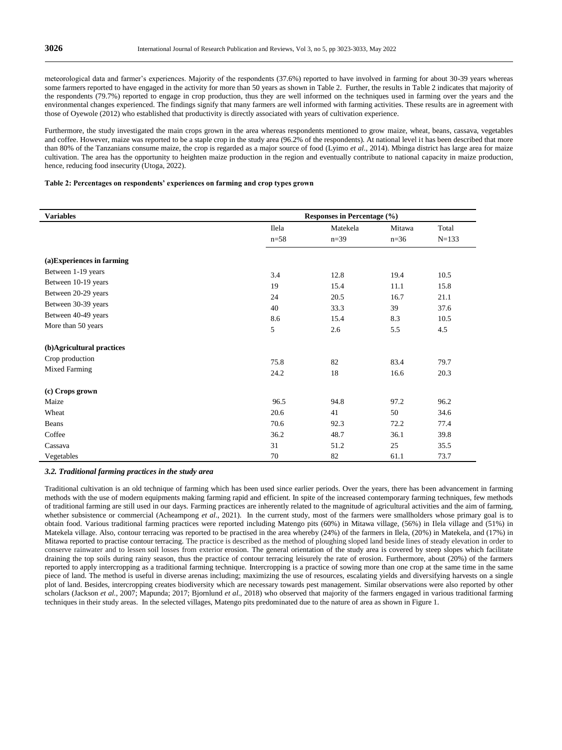meteorological data and farmer's experiences. Majority of the respondents (37.6%) reported to have involved in farming for about 30-39 years whereas some farmers reported to have engaged in the activity for more than 50 years as shown in Table 2. Further, the results in Table 2 indicates that majority of the respondents (79.7%) reported to engage in crop production, thus they are well informed on the techniques used in farming over the years and the environmental changes experienced. The findings signify that many farmers are well informed with farming activities. These results are in agreement with those of Oyewole (2012) who established that productivity is directly associated with years of cultivation experience.

Furthermore, the study investigated the main crops grown in the area whereas respondents mentioned to grow maize, wheat, beans, cassava, vegetables and coffee. However, maize was reported to be a staple crop in the study area (96.2% of the respondents). At national level it has been described that more than 80% of the Tanzanians consume maize, the crop is regarded as a major source of food (Lyimo *et al*., 2014). Mbinga district has large area for maize cultivation. The area has the opportunity to heighten maize production in the region and eventually contribute to national capacity in maize production, hence, reducing food insecurity (Utoga, 2022).

#### **Table 2: Percentages on respondents' experiences on farming and crop types grown**

| <b>Variables</b>           | Responses in Percentage $(\frac{6}{6})$ |          |        |         |  |
|----------------------------|-----------------------------------------|----------|--------|---------|--|
|                            | Ilela                                   | Matekela | Mitawa | Total   |  |
|                            | $n = 58$                                | $n=39$   | $n=36$ | $N=133$ |  |
|                            |                                         |          |        |         |  |
| (a) Experiences in farming |                                         |          |        |         |  |
| Between 1-19 years         | 3.4                                     | 12.8     | 19.4   | 10.5    |  |
| Between 10-19 years        | 19                                      | 15.4     | 11.1   | 15.8    |  |
| Between 20-29 years        | 24                                      | 20.5     | 16.7   | 21.1    |  |
| Between 30-39 years        | 40                                      | 33.3     | 39     | 37.6    |  |
| Between 40-49 years        | 8.6                                     | 15.4     | 8.3    | 10.5    |  |
| More than 50 years         | 5                                       | 2.6      | 5.5    | 4.5     |  |
| (b)Agricultural practices  |                                         |          |        |         |  |
| Crop production            | 75.8                                    | 82       | 83.4   | 79.7    |  |
| <b>Mixed Farming</b>       | 24.2                                    | 18       | 16.6   | 20.3    |  |
| (c) Crops grown            |                                         |          |        |         |  |
| Maize                      | 96.5                                    | 94.8     | 97.2   | 96.2    |  |
| Wheat                      | 20.6                                    | 41       | 50     | 34.6    |  |
| Beans                      | 70.6                                    | 92.3     | 72.2   | 77.4    |  |
| Coffee                     | 36.2                                    | 48.7     | 36.1   | 39.8    |  |
| Cassava                    | 31                                      | 51.2     | 25     | 35.5    |  |
| Vegetables                 | 70                                      | 82       | 61.1   | 73.7    |  |

#### *3.2. Traditional farming practices in the study area*

Traditional cultivation is an old technique of farming which has been used since earlier periods. Over the years, there has been advancement in farming methods with the use of modern equipments making farming rapid and efficient. In spite of the increased contemporary farming techniques, few methods of traditional farming are still used in our days. Farming practices are inherently related to the magnitude of agricultural activities and the aim of farming, whether subsistence or commercial (Acheampong *et al*., 2021). In the current study, most of the farmers were smallholders whose primary goal is to obtain food. Various traditional farming practices were reported including Matengo pits (60%) in Mitawa village, (56%) in Ilela village and (51%) in Matekela village. Also, contour terracing was reported to be practised in the area whereby (24%) of the farmers in Ilela, (20%) in Matekela, and (17%) in Mitawa reported to practise contour terracing. The practice is described as the method of ploughing sloped land beside lines of steady elevation in order to conserve rainwater and to lessen soil losses from exterior erosion. The general orientation of the study area is covered by steep slopes which facilitate draining the top soils during rainy season, thus the practice of contour terracing leisurely the rate of erosion. Furthermore, about (20%) of the farmers reported to apply intercropping as a traditional farming technique. Intercropping is a practice of sowing more than one crop at the same time in the same piece of land. The method is useful in diverse arenas including; maximizing the use of resources, escalating yields and diversifying harvests on a single plot of land. Besides, intercropping creates biodiversity which are necessary towards pest management. Similar observations were also reported by other scholars (Jackson *et al.,* 2007; Mapunda; 2017; Bjornlund *et al.,* 2018) who observed that majority of the farmers engaged in various traditional farming techniques in their study areas. In the selected villages, Matengo pits predominated due to the nature of area as shown in Figure 1.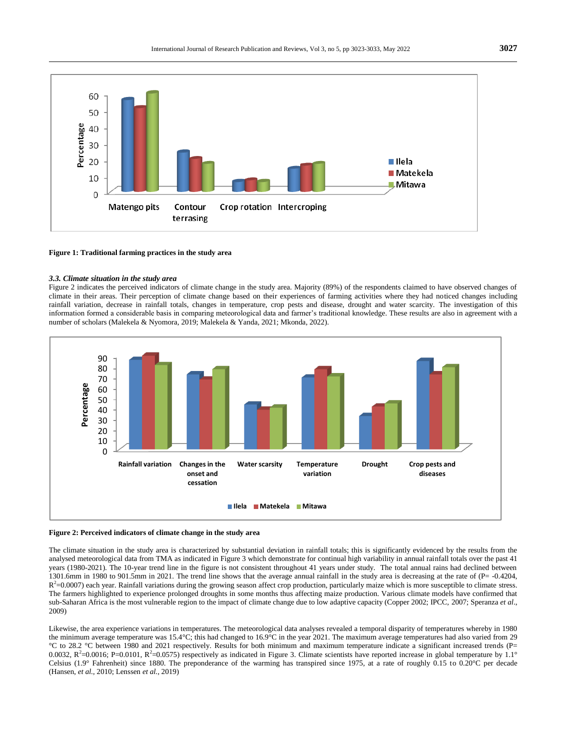

#### **Figure 1: Traditional farming practices in the study area**

#### *3.3. Climate situation in the study area*

Figure 2 indicates the perceived indicators of climate change in the study area. Majority (89%) of the respondents claimed to have observed changes of climate in their areas. Their perception of climate change based on their experiences of farming activities where they had noticed changes including rainfall variation, decrease in rainfall totals, changes in temperature, crop pests and disease, drought and water scarcity. The investigation of this information formed a considerable basis in comparing meteorological data and farmer's traditional knowledge. These results are also in agreement with a number of scholars (Malekela & Nyomora, 2019; Malekela & Yanda, 2021; Mkonda, 2022).



#### **Figure 2: Perceived indicators of climate change in the study area**

The climate situation in the study area is characterized by substantial deviation in rainfall totals; this is significantly evidenced by the results from the analysed meteorological data from TMA as indicated in Figure 3 which demonstrate for continual high variability in annual rainfall totals over the past 41 years (1980-2021). The 10-year trend line in the figure is not consistent throughout 41 years under study. The total annual rains had declined between 1301.6mm in 1980 to 901.5mm in 2021. The trend line shows that the average annual rainfall in the study area is decreasing at the rate of (P= -0.4204,  $R^2$ =0.0007) each year. Rainfall variations during the growing season affect crop production, particularly maize which is more susceptible to climate stress. The farmers highlighted to experience prolonged droughts in some months thus affecting maize production. Various climate models have confirmed that sub-Saharan Africa is the most vulnerable region to the impact of climate change due to low adaptive capacity (Copper 2002; IPCC, 2007; Speranza *et al*., 2009)

Likewise, the area experience variations in temperatures. The meteorological data analyses revealed a temporal disparity of temperatures whereby in 1980 the minimum average temperature was 15.4°C; this had changed to 16.9°C in the year 2021. The maximum average temperatures had also varied from 29 °C to 28.2 °C between 1980 and 2021 respectively. Results for both minimum and maximum temperature indicate a significant increased trends (P= 0.0032,  $R^2$ =0.0016; P=0.0101,  $R^2$ =0.0575) respectively as indicated in Figure 3. Climate scientists have reported increase in global temperature by 1.1° Celsius (1.9° Fahrenheit) since 1880. The preponderance of the warming has transpired since 1975, at a rate of roughly 0.15 to 0.20°C per decade (Hansen, *et al.,* 2010; Lenssen *et al.,* 2019)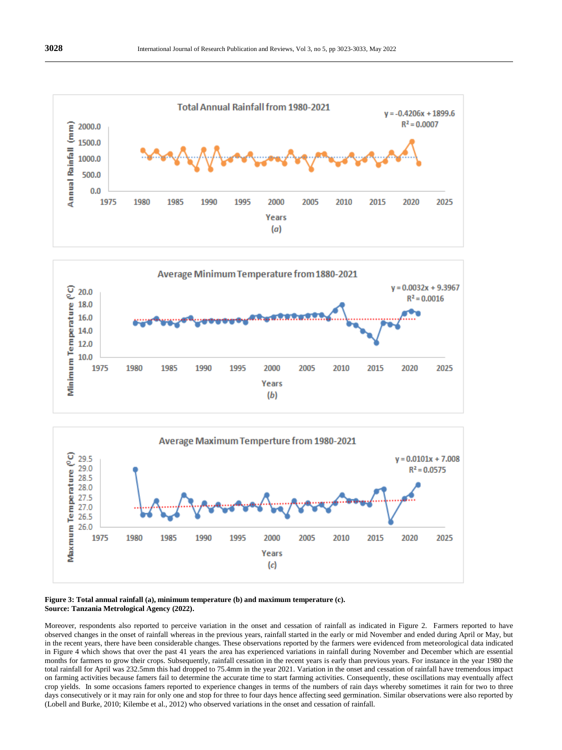





#### **Figure 3: Total annual rainfall (a), minimum temperature (b) and maximum temperature (c). Source: Tanzania Metrological Agency (2022).**

Moreover, respondents also reported to perceive variation in the onset and cessation of rainfall as indicated in Figure 2. Farmers reported to have observed changes in the onset of rainfall whereas in the previous years, rainfall started in the early or mid November and ended during April or May, but in the recent years, there have been considerable changes. These observations reported by the farmers were evidenced from meteorological data indicated in Figure 4 which shows that over the past 41 years the area has experienced variations in rainfall during November and December which are essential months for farmers to grow their crops. Subsequently, rainfall cessation in the recent years is early than previous years. For instance in the year 1980 the total rainfall for April was 232.5mm this had dropped to 75.4mm in the year 2021. Variation in the onset and cessation of rainfall have tremendous impact on farming activities because famers fail to determine the accurate time to start farming activities. Consequently, these oscillations may eventually affect crop yields. In some occasions famers reported to experience changes in terms of the numbers of rain days whereby sometimes it rain for two to three days consecutively or it may rain for only one and stop for three to four days hence affecting seed germination. Similar observations were also reported by (Lobell and Burke, 2010; Kilembe et al., 2012) who observed variations in the onset and cessation of rainfall.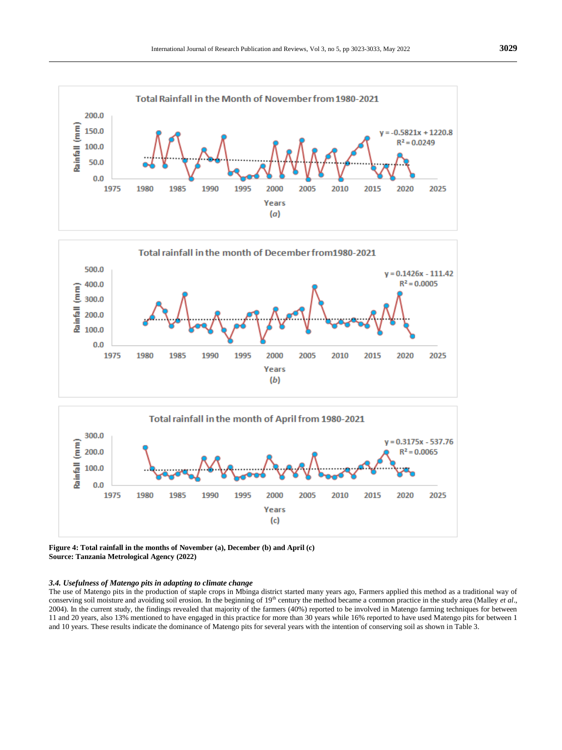

**Figure 4: Total rainfall in the months of November (a), December (b) and April (c) Source: Tanzania Metrological Agency (2022)**

#### *3.4. Usefulness of Matengo pits in adapting to climate change*

The use of Matengo pits in the production of staple crops in Mbinga district started many years ago, Farmers applied this method as a traditional way of conserving soil moisture and avoiding soil erosion. In the beginning of 19<sup>th</sup> century the method became a common practice in the study area (Malley *et al.*, 2004). In the current study, the findings revealed that majority of the farmers (40%) reported to be involved in Matengo farming techniques for between 11 and 20 years, also 13% mentioned to have engaged in this practice for more than 30 years while 16% reported to have used Matengo pits for between 1 and 10 years. These results indicate the dominance of Matengo pits for several years with the intention of conserving soil as shown in Table 3.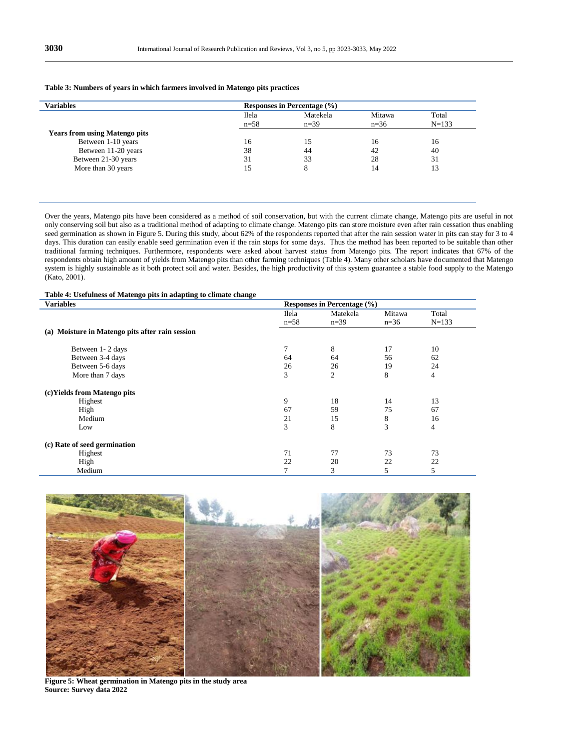## **Table 3: Numbers of years in which farmers involved in Matengo pits practices**

| <b>Variables</b>                     |          | Responses in Percentage $(\% )$ |        |           |  |
|--------------------------------------|----------|---------------------------------|--------|-----------|--|
|                                      | Ilela    | Matekela                        | Mitawa | Total     |  |
|                                      | $n = 58$ | $n=39$                          | $n=36$ | $N = 133$ |  |
| <b>Years from using Matengo pits</b> |          |                                 |        |           |  |
| Between 1-10 years                   | 16       | 15                              | 16     | 16        |  |
| Between 11-20 years                  | 38       | 44                              | 42     | 40        |  |
| Between 21-30 years                  | 31       | 33                              | 28     | 31        |  |
| More than 30 years                   | 15       | ð                               | 14     | 13        |  |
|                                      |          |                                 |        |           |  |

Over the years, Matengo pits have been considered as a method of soil conservation, but with the current climate change, Matengo pits are useful in not only conserving soil but also as a traditional method of adapting to climate change. Matengo pits can store moisture even after rain cessation thus enabling seed germination as shown in Figure 5. During this study, about 62% of the respondents reported that after the rain session water in pits can stay for 3 to 4 days. This duration can easily enable seed germination even if the rain stops for some days. Thus the method has been reported to be suitable than other traditional farming techniques. Furthermore, respondents were asked about harvest status from Matengo pits. The report indicates that 67% of the respondents obtain high amount of yields from Matengo pits than other farming techniques (Table 4). Many other scholars have documented that Matengo system is highly sustainable as it both protect soil and water. Besides, the high productivity of this system guarantee a stable food supply to the Matengo (Kato, 2001).

#### **Table 4: Usefulness of Matengo pits in adapting to climate change**

| <b>Variables</b>                                | Responses in Percentage $(\% )$ |                    |                  |                    |  |
|-------------------------------------------------|---------------------------------|--------------------|------------------|--------------------|--|
|                                                 | Ilela<br>$n = 58$               | Matekela<br>$n=39$ | Mitawa<br>$n=36$ | Total<br>$N = 133$ |  |
| (a) Moisture in Matengo pits after rain session |                                 |                    |                  |                    |  |
| Between 1-2 days                                |                                 | 8                  | 17               | 10                 |  |
| Between 3-4 days                                | 64                              | 64                 | 56               | 62                 |  |
| Between 5-6 days                                | 26                              | 26                 | 19               | 24                 |  |
| More than 7 days                                | 3                               | $\overline{c}$     | 8                | $\overline{4}$     |  |
| (c) Yields from Matengo pits                    |                                 |                    |                  |                    |  |
| Highest                                         | 9                               | 18                 | 14               | 13                 |  |
| High                                            | 67                              | 59                 | 75               | 67                 |  |
| Medium                                          | 21                              | 15                 | 8                | 16                 |  |
| Low                                             | 3                               | 8                  | 3                | 4                  |  |
| (c) Rate of seed germination                    |                                 |                    |                  |                    |  |
| Highest                                         | 71                              | 77                 | 73               | 73                 |  |
| High                                            | 22                              | 20                 | 22               | 22                 |  |
| Medium                                          |                                 | 3                  | 5                | 5                  |  |



**Figure 5: Wheat germination in Matengo pits in the study area Source: Survey data 2022**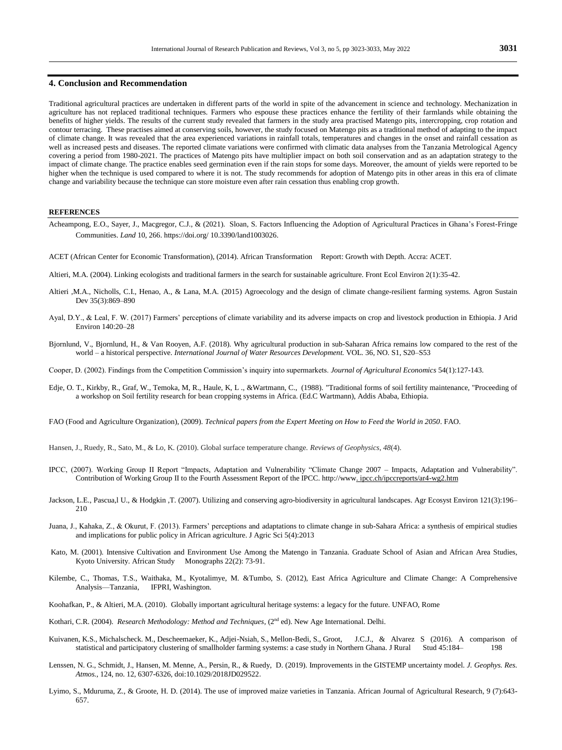## **4. Conclusion and Recommendation**

Traditional agricultural practices are undertaken in different parts of the world in spite of the advancement in science and technology. Mechanization in agriculture has not replaced traditional techniques. Farmers who espouse these practices enhance the fertility of their farmlands while obtaining the benefits of higher yields. The results of the current study revealed that farmers in the study area practised Matengo pits, intercropping, crop rotation and contour terracing. These practises aimed at conserving soils, however, the study focused on Matengo pits as a traditional method of adapting to the impact of climate change. It was revealed that the area experienced variations in rainfall totals, temperatures and changes in the onset and rainfall cessation as well as increased pests and diseases. The reported climate variations were confirmed with climatic data analyses from the Tanzania Metrological Agency covering a period from 1980-2021. The practices of Matengo pits have multiplier impact on both soil conservation and as an adaptation strategy to the impact of climate change. The practice enables seed germination even if the rain stops for some days. Moreover, the amount of yields were reported to be higher when the technique is used compared to where it is not. The study recommends for adoption of Matengo pits in other areas in this era of climate change and variability because the technique can store moisture even after rain cessation thus enabling crop growth.

#### **REFERENCES**

- Acheampong, E.O., Sayer, J., Macgregor, C.J., & (2021). Sloan, S. Factors Influencing the Adoption of Agricultural Practices in Ghana's Forest-Fringe Communities. *Land* 10, 266. https://doi.org/ 10.3390/land1003026.
- ACET (African Center for Economic Transformation), (2014). African Transformation Report: Growth with Depth. Accra: ACET.
- Altieri, M.A. (2004). Linking ecologists and traditional farmers in the search for sustainable agriculture. Front Ecol Environ 2(1):35-42.
- Altieri ,M.A., Nicholls, C.I., Henao, A., & Lana, M.A. (2015) Agroecology and the design of climate change-resilient farming systems. Agron Sustain Dev 35(3):869–890
- Ayal, D.Y., & Leal, F. W. (2017) Farmers' perceptions of climate variability and its adverse impacts on crop and livestock production in Ethiopia. J Arid Environ 140:20–28
- Bjornlund, V., Bjornlund, H., & Van Rooyen, A.F. (2018). Why agricultural production in sub-Saharan Africa remains low compared to the rest of the world – a historical perspective. *International Journal of Water Resources Development.* VOL. 36, NO. S1, S20–S53
- Cooper, D. (2002). Findings from the Competition Commission's inquiry into supermarkets. *Journal of Agricultural Economics* 54(1):127-143.
- Edje, O. T., Kirkby, R., Graf, W., Temoka, M, R., Haule, K, L ., &Wartmann, C., (1988). "Traditional forms of soil fertility maintenance, "Proceeding of a workshop on Soil fertility research for bean cropping systems in Africa. (Ed.C Wartmann), Addis Ababa, Ethiopia.
- FAO (Food and Agriculture Organization), (2009). *Technical papers from the Expert Meeting on How to Feed the World in 2050*. FAO.
- Hansen, J., Ruedy, R., Sato, M., & Lo, K. (2010). Global surface temperature change. *Reviews of Geophysics*, *48*(4).
- IPCC, (2007). Working Group II Report "Impacts, Adaptation and Vulnerability "Climate Change 2007 Impacts, Adaptation and Vulnerability". Contribution of Working Group II to the Fourth Assessment Report of the IPCC. [http://www.](http://www/) ipcc.ch/ipccreports/ar4-wg2.htm
- Jackson, L.E., Pascua,l U., & Hodgkin ,T. (2007). Utilizing and conserving agro-biodiversity in agricultural landscapes. Agr Ecosyst Environ 121(3):196– 210
- Juana, J., Kahaka, Z., & Okurut, F. (2013). Farmers' perceptions and adaptations to climate change in sub-Sahara Africa: a synthesis of empirical studies and implications for public policy in African agriculture. J Agric Sci 5(4):2013
- Kato, M. (2001). Intensive Cultivation and Environment Use Among the Matengo in Tanzania. Graduate School of Asian and African Area Studies, Kyoto University. African Study Monographs 22(2): 73-91.
- Kilembe, C., Thomas, T.S., Waithaka, M., Kyotalimye, M. &Tumbo, S. (2012), East Africa Agriculture and Climate Change: A Comprehensive Analysis—Tanzania, IFPRI, Washington.
- Koohafkan, P., & Altieri, M.A. (2010). Globally important agricultural heritage systems: a legacy for the future. UNFAO, Rome
- Kothari, C.R. (2004). *Research Methodology: Method and Techniques*, (2<sup>nd</sup> ed). New Age International. Delhi.
- Kuivanen, K.S., Michalscheck. M., Descheemaeker, K., Adjei-Nsiah, S., Mellon-Bedi, S., Groot, J.C.J., & Alvarez S (2016). A comparison of statistical and participatory clustering of smallholder farming systems: a case stud statistical and participatory clustering of smallholder farming systems: a case study in Northern Ghana. J Rural
- Lenssen, N. G., Schmidt, J., Hansen, M. Menne, A., Persin, R., & Ruedy, D. (2019). Improvements in the GISTEMP uncertainty model. *J. Geophys. Res. Atmos.*, 124, no. 12, 6307-6326, doi:10.1029/2018JD029522.
- Lyimo, S., Mduruma, Z., & Groote, H. D. (2014). The use of improved maize varieties in Tanzania. African Journal of Agricultural Research, 9 (7):643- 657.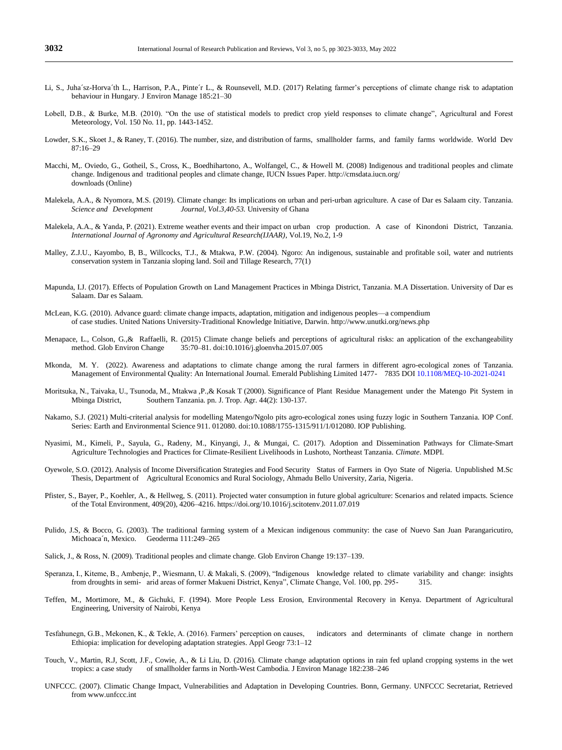- Li, S., Juha´sz-Horva´th L., Harrison, P.A., Pinte´r L., & Rounsevell, M.D. (2017) Relating farmer's perceptions of climate change risk to adaptation behaviour in Hungary. J Environ Manage 185:21–30
- Lobell, D.B., & Burke, M.B. (2010). "On the use of statistical models to predict crop yield responses to climate change", Agricultural and Forest Meteorology, Vol. 150 No. 11, pp. 1443-1452.
- Lowder, S.K., Skoet J., & Raney, T. (2016). The number, size, and distribution of farms, smallholder farms, and family farms worldwide. World Dev 87:16–29
- Macchi, M,. Oviedo, G., Gotheil, S., Cross, K., Boedhihartono, A., Wolfangel, C., & Howell M. (2008) Indigenous and traditional peoples and climate change. Indigenous and traditional peoples and climate change, IUCN Issues Paper. http://cmsdata.iucn.org/ downloads (Online)
- Malekela, A.A., & Nyomora, M.S. (2019). Climate change: Its implications on urban and peri-urban agriculture. A case of Dar es Salaam city. Tanzania. *Science and Development Journal, Vol.3,40-53.* University of Ghana
- Malekela, A.A., & Yanda, P. (2021). Extreme weather events and their impact on urban crop production. A case of Kinondoni District, Tanzania. *International Journal of Agronomy and Agricultural Research(IJAAR)*, Vol.19, No.2, 1-9
- Malley, Z.J.U., Kayombo, B, B., Willcocks, T.J., & Mtakwa, P.W. (2004). Ngoro: An indigenous, sustainable and profitable soil, water and nutrients conservation system in Tanzania sloping land. Soil and Tillage Research, 77(1)
- Mapunda, I.J. (2017). Effects of Population Growth on Land Management Practices in Mbinga District, Tanzania. M.A Dissertation. University of Dar es Salaam. Dar es Salaam.
- McLean, K.G. (2010). Advance guard: climate change impacts, adaptation, mitigation and indigenous peoples—a compendium of case studies. United Nations University-Traditional Knowledge Initiative, Darwin[. http://www.unutki.org/news.php](http://www.unutki.org/news.php)
- Menapace, L., Colson, G.,& Raffaelli, R. (2015) Climate change beliefs and perceptions of agricultural risks: an application of the exchangeability method. Glob Environ Change 35:70–81. doi:10.1016/j.gloenvha.2015.07.005
- Mkonda, M. Y. (2022). Awareness and adaptations to climate change among the rural farmers in different agro-ecological zones of Tanzania. Management of Environmental Quality: An International Journal. Emerald Publishing Limited 1477- 7835 DOI 10.1108/MEQ-10-2021-0241
- Moritsuka, N., Taivaka, U., Tsunoda, M., Mtakwa ,P.,& Kosak T (2000). Significance of Plant Residue Management under the Matengo Pit System in Mbinga District, Southern Tanzania. pn. J. Trop. Agr. 44(2): 130-137.
- Nakamo, S.J. (2021) Multi-criterial analysis for modelling Matengo/Ngolo pits agro-ecological zones using fuzzy logic in Southern Tanzania. IOP Conf. Series: Earth and Environmental Science 911. 012080. doi:10.1088/1755-1315/911/1/012080. IOP Publishing.
- Nyasimi, M., Kimeli, P., Sayula, G., Radeny, M., Kinyangi, J., & Mungai, C. (2017). Adoption and Dissemination Pathways for Climate-Smart Agriculture Technologies and Practices for Climate-Resilient Livelihoods in Lushoto, Northeast Tanzania. *Climate*. MDPI.
- Oyewole, S.O. (2012). Analysis of Income Diversification Strategies and Food Security Status of Farmers in Oyo State of Nigeria. Unpublished M.Sc Thesis, Department of Agricultural Economics and Rural Sociology, Ahmadu Bello University, Zaria, Nigeria.
- Pfister, S., Bayer, P., Koehler, A., & Hellweg, S. (2011). Projected water consumption in future global agriculture: Scenarios and related impacts. Science of the Total Environment, 409(20), 4206–4216[. https://doi.org/10.1016/j.scitotenv.2011.07.019](https://doi.org/10.1016/j.scitotenv.2011.07.019)
- Pulido, J.S, & Bocco, G. (2003). The traditional farming system of a Mexican indigenous community: the case of Nuevo San Juan Parangaricutiro, Michoaca´n, Mexico. Geoderma 111:249–265
- Salick, J., & Ross, N. (2009). Traditional peoples and climate change. Glob Environ Change 19:137–139.
- Speranza, I., Kiteme, B., Ambenje, P., Wiesmann, U. & Makali, S. (2009), "Indigenous knowledge related to climate variability and change: insights from droughts in semi- arid areas of former Makueni District, Kenya", Climate Change, Vol. 100, pp. 295- 315.
- Teffen, M., Mortimore, M., & Gichuki, F. (1994). More People Less Erosion, Environmental Recovery in Kenya. Department of Agricultural Engineering, University of Nairobi, Kenya
- Tesfahunegn, G.B., Mekonen, K., & Tekle, A. (2016). Farmers' perception on causes, indicators and determinants of climate change in northern Ethiopia: implication for developing adaptation strategies. Appl Geogr 73:1–12
- Touch, V., Martin, R.J, Scott, J.F., Cowie, A., & Li Liu, D. (2016). Climate change adaptation options in rain fed upland cropping systems in the wet tropics: a case study of smallholder farms in North-West Cambodia. J Environ Manage 182:238–246
- UNFCCC. (2007). Climatic Change Impact, Vulnerabilities and Adaptation in Developing Countries. Bonn, Germany. UNFCCC Secretariat, Retrieved fro[m www.unfccc.int](http://www.unfccc.int/)